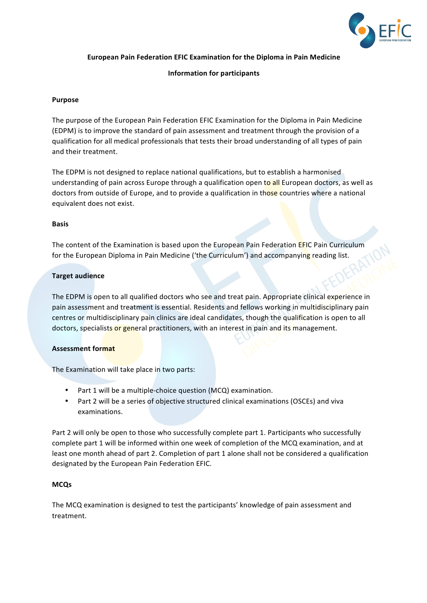

**European Pain Federation EFIC Examination for the Diploma in Pain Medicine**

# **Information for participants**

#### **Purpose**

The purpose of the European Pain Federation EFIC Examination for the Diploma in Pain Medicine (EDPM) is to improve the standard of pain assessment and treatment through the provision of a qualification for all medical professionals that tests their broad understanding of all types of pain and their treatment.

The EDPM is not designed to replace national qualifications, but to establish a harmonised understanding of pain across Europe through a qualification open to all European doctors, as well as doctors from outside of Europe, and to provide a qualification in those countries where a national equivalent does not exist.

#### **Basis**

The content of the Examination is based upon the European Pain Federation EFIC Pain Curriculum for the European Diploma in Pain Medicine ('the Curriculum') and accompanying reading list.

#### **Target audience**

The EDPM is open to all qualified doctors who see and treat pain. Appropriate clinical experience in pain assessment and treatment is essential. Residents and fellows working in multidisciplinary pain centres or multidisciplinary pain clinics are ideal candidates, though the qualification is open to all doctors, specialists or general practitioners, with an interest in pain and its management.

## **Assessment format**

The Examination will take place in two parts:

- Part 1 will be a multiple-choice question (MCQ) examination.
- Part 2 will be a series of objective structured clinical examinations (OSCEs) and viva examinations.

Part 2 will only be open to those who successfully complete part 1. Participants who successfully complete part 1 will be informed within one week of completion of the MCQ examination, and at least one month ahead of part 2. Completion of part 1 alone shall not be considered a qualification designated by the European Pain Federation EFIC.

#### **MCQs**

The MCQ examination is designed to test the participants' knowledge of pain assessment and treatment.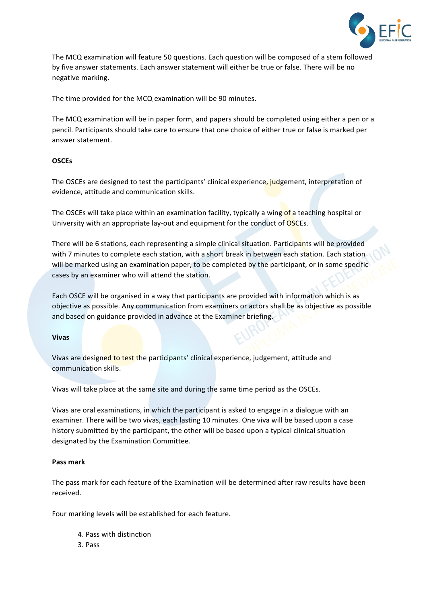

The MCQ examination will feature 50 questions. Each question will be composed of a stem followed by five answer statements. Each answer statement will either be true or false. There will be no negative marking. 

The time provided for the MCQ examination will be 90 minutes.

The MCQ examination will be in paper form, and papers should be completed using either a pen or a pencil. Participants should take care to ensure that one choice of either true or false is marked per answer statement.

## **OSCEs**

The OSCEs are designed to test the participants' clinical experience, judgement, interpretation of evidence, attitude and communication skills.

The OSCEs will take place within an examination facility, typically a wing of a teaching hospital or University with an appropriate lay-out and equipment for the conduct of OSCEs.

There will be 6 stations, each representing a simple clinical situation. Participants will be provided with 7 minutes to complete each station, with a short break in between each station. Each station. will be marked using an examination paper, to be completed by the participant, or in some specific cases by an examiner who will attend the station.

Each OSCE will be organised in a way that participants are provided with information which is as objective as possible. Any communication from examiners or actors shall be as objective as possible and based on guidance provided in advance at the Examiner briefing.

## **Vivas**

Vivas are designed to test the participants' clinical experience, judgement, attitude and communication skills.

Vivas will take place at the same site and during the same time period as the OSCEs.

Vivas are oral examinations, in which the participant is asked to engage in a dialogue with an examiner. There will be two vivas, each lasting 10 minutes. One viva will be based upon a case history submitted by the participant, the other will be based upon a typical clinical situation designated by the Examination Committee.

## **Pass mark**

The pass mark for each feature of the Examination will be determined after raw results have been received.

Four marking levels will be established for each feature.

- 4. Pass with distinction
- 3. Pass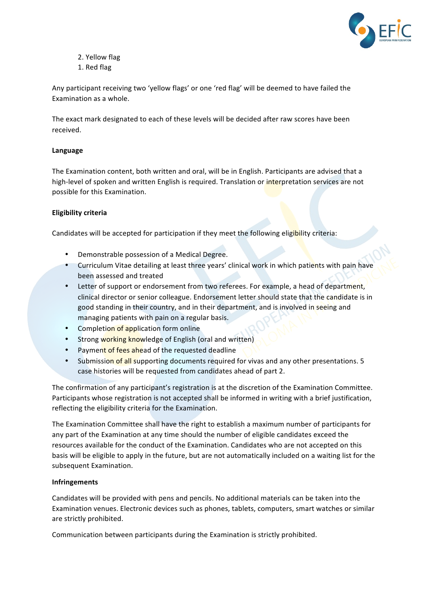

- 2. Yellow flag
- 1. Red flag

Any participant receiving two 'yellow flags' or one 'red flag' will be deemed to have failed the Examination as a whole.

The exact mark designated to each of these levels will be decided after raw scores have been received.

## **Language**

The Examination content, both written and oral, will be in English. Participants are advised that a high-level of spoken and written English is required. Translation or interpretation services are not possible for this Examination.

# **Eligibility criteria**

Candidates will be accepted for participation if they meet the following eligibility criteria:

- Demonstrable possession of a Medical Degree.
- Curriculum Vitae detailing at least three years' clinical work in which patients with pain have been assessed and treated
- Letter of support or endorsement from two referees. For example, a head of department, clinical director or senior colleague. Endorsement letter should state that the candidate is in good standing in their country, and in their department, and is involved in seeing and managing patients with pain on a regular basis.
- Completion of application form online
- Strong working knowledge of English (oral and written)
- Payment of fees ahead of the requested deadline
- Submission of all supporting documents required for vivas and any other presentations. 5 case histories will be requested from candidates ahead of part 2.

The confirmation of any participant's registration is at the discretion of the Examination Committee. Participants whose registration is not accepted shall be informed in writing with a brief justification, reflecting the eligibility criteria for the Examination.

The Examination Committee shall have the right to establish a maximum number of participants for any part of the Examination at any time should the number of eligible candidates exceed the resources available for the conduct of the Examination. Candidates who are not accepted on this basis will be eligible to apply in the future, but are not automatically included on a waiting list for the subsequent Examination.

## **Infringements**

Candidates will be provided with pens and pencils. No additional materials can be taken into the Examination venues. Electronic devices such as phones, tablets, computers, smart watches or similar are strictly prohibited.

Communication between participants during the Examination is strictly prohibited.